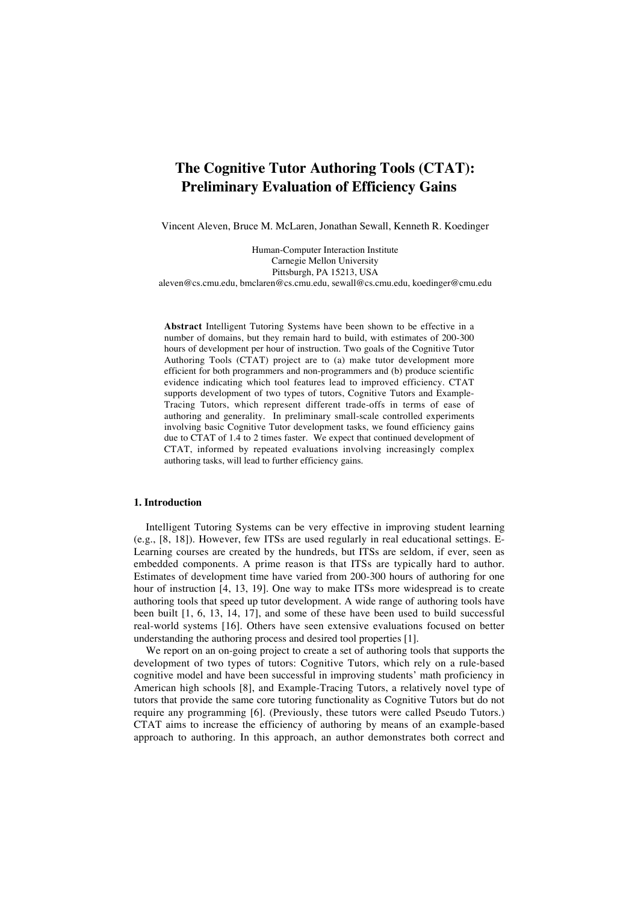# **The Cognitive Tutor Authoring Tools (CTAT): Preliminary Evaluation of Efficiency Gains**

Vincent Aleven, Bruce M. McLaren, Jonathan Sewall, Kenneth R. Koedinger

Human-Computer Interaction Institute Carnegie Mellon University Pittsburgh, PA 15213, USA aleven@cs.cmu.edu, bmclaren@cs.cmu.edu, sewall@cs.cmu.edu, koedinger@cmu.edu

**Abstract** Intelligent Tutoring Systems have been shown to be effective in a number of domains, but they remain hard to build, with estimates of 200-300 hours of development per hour of instruction. Two goals of the Cognitive Tutor Authoring Tools (CTAT) project are to (a) make tutor development more efficient for both programmers and non-programmers and (b) produce scientific evidence indicating which tool features lead to improved efficiency. CTAT supports development of two types of tutors, Cognitive Tutors and Example-Tracing Tutors, which represent different trade-offs in terms of ease of authoring and generality. In preliminary small-scale controlled experiments involving basic Cognitive Tutor development tasks, we found efficiency gains due to CTAT of 1.4 to 2 times faster. We expect that continued development of CTAT, informed by repeated evaluations involving increasingly complex authoring tasks, will lead to further efficiency gains.

### **1. Introduction**

Intelligent Tutoring Systems can be very effective in improving student learning (e.g., [8, 18]). However, few ITSs are used regularly in real educational settings. E-Learning courses are created by the hundreds, but ITSs are seldom, if ever, seen as embedded components. A prime reason is that ITSs are typically hard to author. Estimates of development time have varied from 200-300 hours of authoring for one hour of instruction [4, 13, 19]. One way to make ITSs more widespread is to create authoring tools that speed up tutor development. A wide range of authoring tools have been built [1, 6, 13, 14, 17], and some of these have been used to build successful real-world systems [16]. Others have seen extensive evaluations focused on better understanding the authoring process and desired tool properties [1].

We report on an on-going project to create a set of authoring tools that supports the development of two types of tutors: Cognitive Tutors, which rely on a rule-based cognitive model and have been successful in improving students' math proficiency in American high schools [8], and Example-Tracing Tutors, a relatively novel type of tutors that provide the same core tutoring functionality as Cognitive Tutors but do not require any programming [6]. (Previously, these tutors were called Pseudo Tutors.) CTAT aims to increase the efficiency of authoring by means of an example-based approach to authoring. In this approach, an author demonstrates both correct and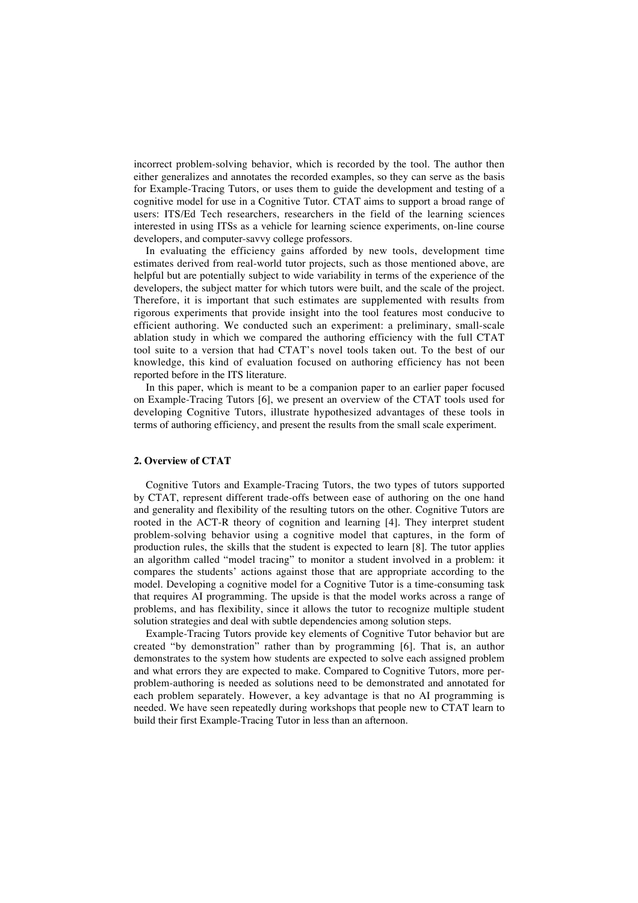incorrect problem-solving behavior, which is recorded by the tool. The author then either generalizes and annotates the recorded examples, so they can serve as the basis for Example-Tracing Tutors, or uses them to guide the development and testing of a cognitive model for use in a Cognitive Tutor. CTAT aims to support a broad range of users: ITS/Ed Tech researchers, researchers in the field of the learning sciences interested in using ITSs as a vehicle for learning science experiments, on-line course developers, and computer-savvy college professors.

In evaluating the efficiency gains afforded by new tools, development time estimates derived from real-world tutor projects, such as those mentioned above, are helpful but are potentially subject to wide variability in terms of the experience of the developers, the subject matter for which tutors were built, and the scale of the project. Therefore, it is important that such estimates are supplemented with results from rigorous experiments that provide insight into the tool features most conducive to efficient authoring. We conducted such an experiment: a preliminary, small-scale ablation study in which we compared the authoring efficiency with the full CTAT tool suite to a version that had CTAT's novel tools taken out. To the best of our knowledge, this kind of evaluation focused on authoring efficiency has not been reported before in the ITS literature.

In this paper, which is meant to be a companion paper to an earlier paper focused on Example-Tracing Tutors [6], we present an overview of the CTAT tools used for developing Cognitive Tutors, illustrate hypothesized advantages of these tools in terms of authoring efficiency, and present the results from the small scale experiment.

### **2. Overview of CTAT**

Cognitive Tutors and Example-Tracing Tutors, the two types of tutors supported by CTAT, represent different trade-offs between ease of authoring on the one hand and generality and flexibility of the resulting tutors on the other. Cognitive Tutors are rooted in the ACT-R theory of cognition and learning [4]. They interpret student problem-solving behavior using a cognitive model that captures, in the form of production rules, the skills that the student is expected to learn [8]. The tutor applies an algorithm called "model tracing" to monitor a student involved in a problem: it compares the students' actions against those that are appropriate according to the model. Developing a cognitive model for a Cognitive Tutor is a time-consuming task that requires AI programming. The upside is that the model works across a range of problems, and has flexibility, since it allows the tutor to recognize multiple student solution strategies and deal with subtle dependencies among solution steps.

Example-Tracing Tutors provide key elements of Cognitive Tutor behavior but are created "by demonstration" rather than by programming [6]. That is, an author demonstrates to the system how students are expected to solve each assigned problem and what errors they are expected to make. Compared to Cognitive Tutors, more perproblem-authoring is needed as solutions need to be demonstrated and annotated for each problem separately. However, a key advantage is that no AI programming is needed. We have seen repeatedly during workshops that people new to CTAT learn to build their first Example-Tracing Tutor in less than an afternoon.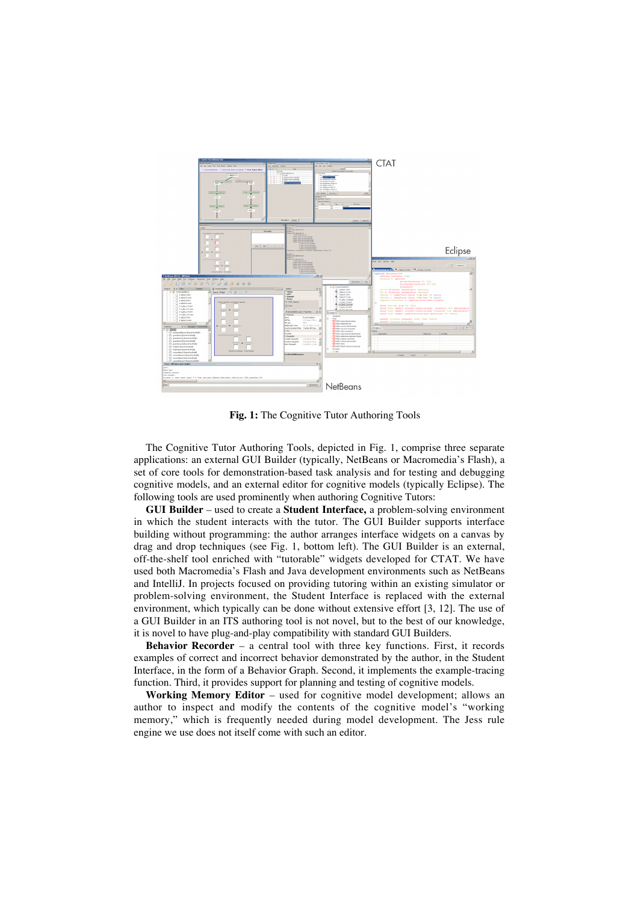

**Fig. 1:** The Cognitive Tutor Authoring Tools

The Cognitive Tutor Authoring Tools, depicted in Fig. 1, comprise three separate applications: an external GUI Builder (typically, NetBeans or Macromedia's Flash), a set of core tools for demonstration-based task analysis and for testing and debugging cognitive models, and an external editor for cognitive models (typically Eclipse). The following tools are used prominently when authoring Cognitive Tutors:

**GUI Builder** – used to create a **Student Interface,** a problem-solving environment in which the student interacts with the tutor. The GUI Builder supports interface building without programming: the author arranges interface widgets on a canvas by drag and drop techniques (see Fig. 1, bottom left). The GUI Builder is an external, off-the-shelf tool enriched with "tutorable" widgets developed for CTAT. We have used both Macromedia's Flash and Java development environments such as NetBeans and IntelliJ. In projects focused on providing tutoring within an existing simulator or problem-solving environment, the Student Interface is replaced with the external environment, which typically can be done without extensive effort [3, 12]. The use of a GUI Builder in an ITS authoring tool is not novel, but to the best of our knowledge, it is novel to have plug-and-play compatibility with standard GUI Builders.

**Behavior Recorder** – a central tool with three key functions. First, it records examples of correct and incorrect behavior demonstrated by the author, in the Student Interface, in the form of a Behavior Graph. Second, it implements the example-tracing function. Third, it provides support for planning and testing of cognitive models.

**Working Memory Editor** – used for cognitive model development; allows an author to inspect and modify the contents of the cognitive model's "working memory," which is frequently needed during model development. The Jess rule engine we use does not itself come with such an editor.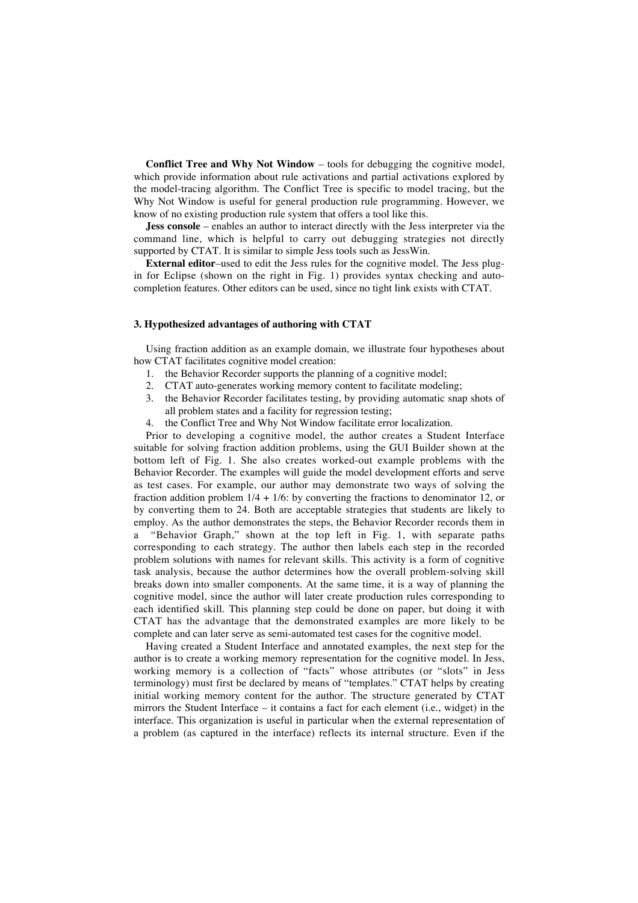**Conflict Tree and Why Not Window** – tools for debugging the cognitive model, which provide information about rule activations and partial activations explored by the model-tracing algorithm. The Conflict Tree is specific to model tracing, but the Why Not Window is useful for general production rule programming. However, we know of no existing production rule system that offers a tool like this.

**Jess console** – enables an author to interact directly with the Jess interpreter via the command line, which is helpful to carry out debugging strategies not directly supported by CTAT. It is similar to simple Jess tools such as JessWin.

**External editor**–used to edit the Jess rules for the cognitive model. The Jess plugin for Eclipse (shown on the right in Fig. 1) provides syntax checking and autocompletion features. Other editors can be used, since no tight link exists with CTAT.

#### **3. Hypothesized advantages of authoring with CTAT**

Using fraction addition as an example domain, we illustrate four hypotheses about how CTAT facilitates cognitive model creation:

- 1. the Behavior Recorder supports the planning of a cognitive model;
- 2. CTAT auto-generates working memory content to facilitate modeling;
- 3. the Behavior Recorder facilitates testing, by providing automatic snap shots of all problem states and a facility for regression testing;
- 4. the Conflict Tree and Why Not Window facilitate error localization.

Prior to developing a cognitive model, the author creates a Student Interface suitable for solving fraction addition problems, using the GUI Builder shown at the bottom left of Fig. 1. She also creates worked-out example problems with the Behavior Recorder. The examples will guide the model development efforts and serve as test cases. For example, our author may demonstrate two ways of solving the fraction addition problem 1/4 + 1/6: by converting the fractions to denominator 12, or by converting them to 24. Both are acceptable strategies that students are likely to employ. As the author demonstrates the steps, the Behavior Recorder records them in a "Behavior Graph," shown at the top left in Fig. 1, with separate paths corresponding to each strategy. The author then labels each step in the recorded problem solutions with names for relevant skills. This activity is a form of cognitive task analysis, because the author determines how the overall problem-solving skill breaks down into smaller components. At the same time, it is a way of planning the cognitive model, since the author will later create production rules corresponding to each identified skill. This planning step could be done on paper, but doing it with CTAT has the advantage that the demonstrated examples are more likely to be complete and can later serve as semi-automated test cases for the cognitive model.

Having created a Student Interface and annotated examples, the next step for the author is to create a working memory representation for the cognitive model. In Jess, working memory is a collection of "facts" whose attributes (or "slots" in Jess terminology) must first be declared by means of "templates." CTAT helps by creating initial working memory content for the author. The structure generated by CTAT mirrors the Student Interface – it contains a fact for each element (i.e., widget) in the interface. This organization is useful in particular when the external representation of a problem (as captured in the interface) reflects its internal structure. Even if the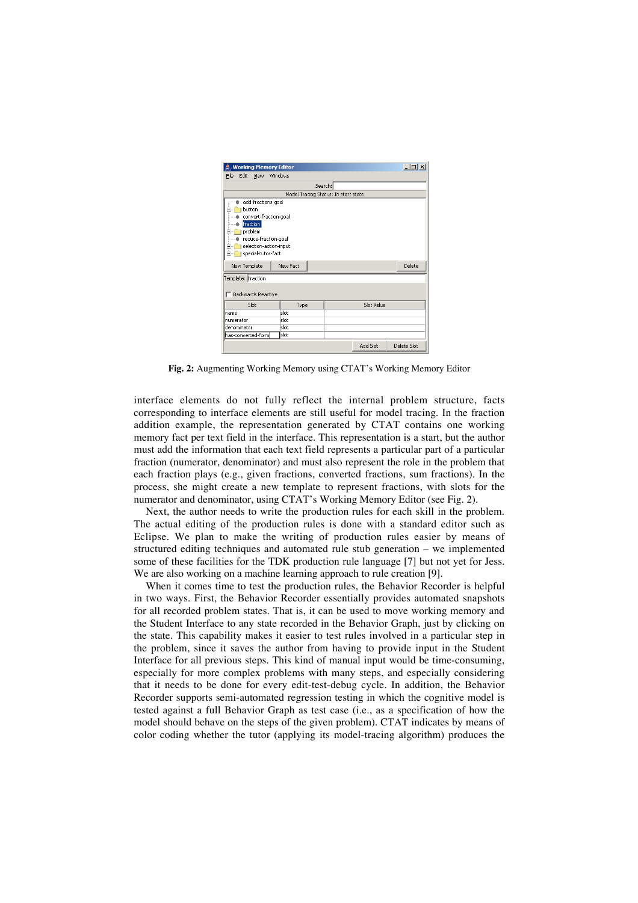| <b>Working Memory Editor</b>             |          |            | $\Box$      |
|------------------------------------------|----------|------------|-------------|
| Edit<br>View<br>File                     | Windows  |            |             |
| Search:                                  |          |            |             |
| Model Tracing Status: In start state     |          |            |             |
| add-fractions-goal                       |          |            |             |
| button<br>÷                              |          |            |             |
| convert-fraction-goal                    |          |            |             |
| fraction                                 |          |            |             |
| problem                                  |          |            |             |
| reduce-fraction-goal                     |          |            |             |
| selection-action-input<br>$\overline{+}$ |          |            |             |
| special-tutor-fact<br>$\overline{+}$     |          |            |             |
| New Template                             | New Fact |            | Delete      |
| Template: fraction                       |          |            |             |
|                                          |          |            |             |
| <b>Backwards Reactive</b>                |          |            |             |
| Slot                                     | Type     | Slot Value |             |
| name                                     | slot     |            |             |
| numerator                                | slot     |            |             |
| denominator                              | slot     |            |             |
| has-converted-form                       | slot     |            |             |
|                                          |          | Add Slot   | Delete Slot |

**Fig. 2:** Augmenting Working Memory using CTAT's Working Memory Editor

interface elements do not fully reflect the internal problem structure, facts corresponding to interface elements are still useful for model tracing. In the fraction addition example, the representation generated by CTAT contains one working memory fact per text field in the interface. This representation is a start, but the author must add the information that each text field represents a particular part of a particular fraction (numerator, denominator) and must also represent the role in the problem that each fraction plays (e.g., given fractions, converted fractions, sum fractions). In the process, she might create a new template to represent fractions, with slots for the numerator and denominator, using CTAT's Working Memory Editor (see Fig. 2).

Next, the author needs to write the production rules for each skill in the problem. The actual editing of the production rules is done with a standard editor such as Eclipse. We plan to make the writing of production rules easier by means of structured editing techniques and automated rule stub generation – we implemented some of these facilities for the TDK production rule language [7] but not yet for Jess. We are also working on a machine learning approach to rule creation [9].

When it comes time to test the production rules, the Behavior Recorder is helpful in two ways. First, the Behavior Recorder essentially provides automated snapshots for all recorded problem states. That is, it can be used to move working memory and the Student Interface to any state recorded in the Behavior Graph, just by clicking on the state. This capability makes it easier to test rules involved in a particular step in the problem, since it saves the author from having to provide input in the Student Interface for all previous steps. This kind of manual input would be time-consuming, especially for more complex problems with many steps, and especially considering that it needs to be done for every edit-test-debug cycle. In addition, the Behavior Recorder supports semi-automated regression testing in which the cognitive model is tested against a full Behavior Graph as test case (i.e., as a specification of how the model should behave on the steps of the given problem). CTAT indicates by means of color coding whether the tutor (applying its model-tracing algorithm) produces the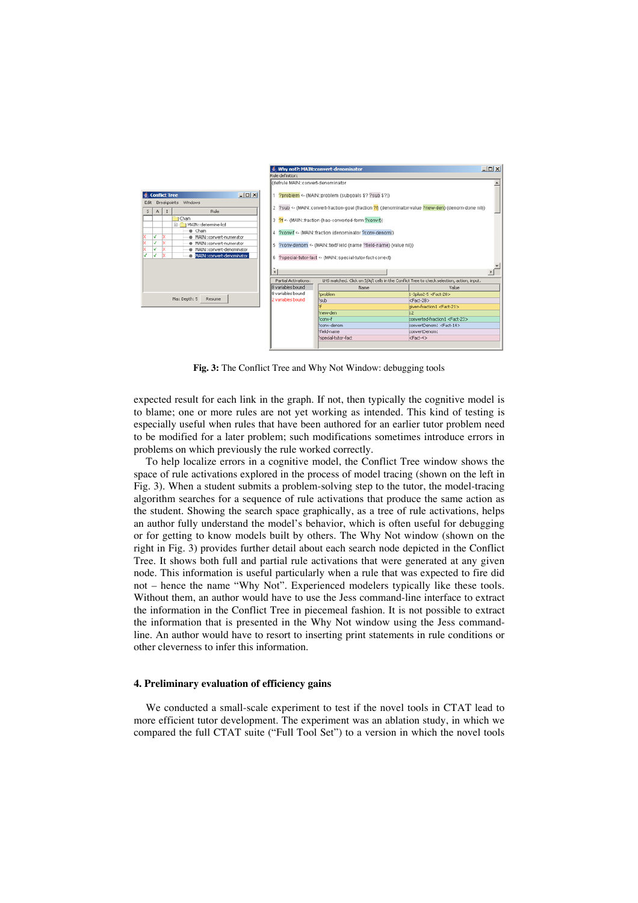

**Fig. 3:** The Conflict Tree and Why Not Window: debugging tools

expected result for each link in the graph. If not, then typically the cognitive model is to blame; one or more rules are not yet working as intended. This kind of testing is especially useful when rules that have been authored for an earlier tutor problem need to be modified for a later problem; such modifications sometimes introduce errors in problems on which previously the rule worked correctly.

To help localize errors in a cognitive model, the Conflict Tree window shows the space of rule activations explored in the process of model tracing (shown on the left in Fig. 3). When a student submits a problem-solving step to the tutor, the model-tracing algorithm searches for a sequence of rule activations that produce the same action as the student. Showing the search space graphically, as a tree of rule activations, helps an author fully understand the model's behavior, which is often useful for debugging or for getting to know models built by others. The Why Not window (shown on the right in Fig. 3) provides further detail about each search node depicted in the Conflict Tree. It shows both full and partial rule activations that were generated at any given node. This information is useful particularly when a rule that was expected to fire did not – hence the name "Why Not". Experienced modelers typically like these tools. Without them, an author would have to use the Jess command-line interface to extract the information in the Conflict Tree in piecemeal fashion. It is not possible to extract the information that is presented in the Why Not window using the Jess commandline. An author would have to resort to inserting print statements in rule conditions or other cleverness to infer this information.

### **4. Preliminary evaluation of efficiency gains**

We conducted a small-scale experiment to test if the novel tools in CTAT lead to more efficient tutor development. The experiment was an ablation study, in which we compared the full CTAT suite ("Full Tool Set") to a version in which the novel tools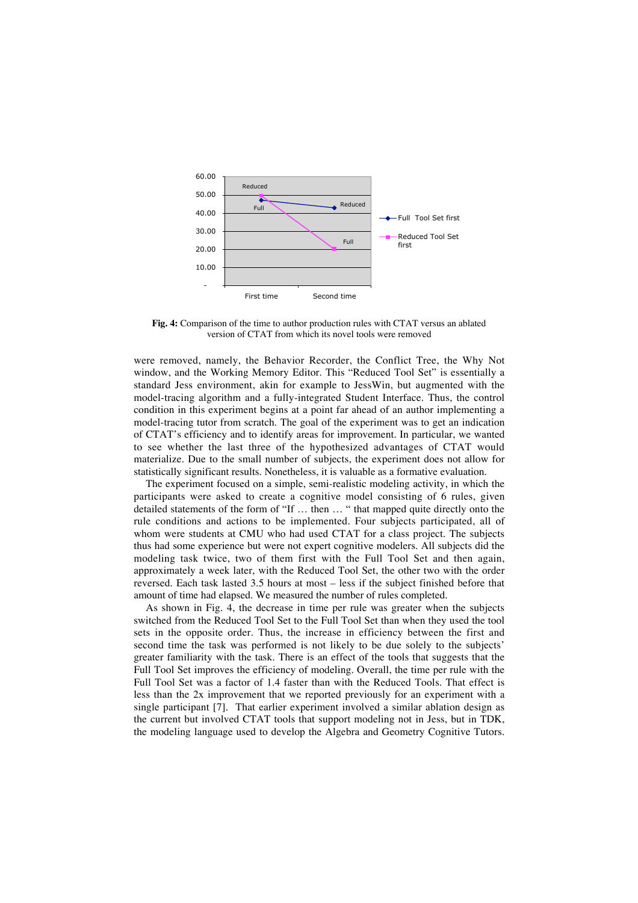

**Fig. 4:** Comparison of the time to author production rules with CTAT versus an ablated version of CTAT from which its novel tools were removed

were removed, namely, the Behavior Recorder, the Conflict Tree, the Why Not window, and the Working Memory Editor. This "Reduced Tool Set" is essentially a standard Jess environment, akin for example to JessWin, but augmented with the model-tracing algorithm and a fully-integrated Student Interface. Thus, the control condition in this experiment begins at a point far ahead of an author implementing a model-tracing tutor from scratch. The goal of the experiment was to get an indication of CTAT's efficiency and to identify areas for improvement. In particular, we wanted to see whether the last three of the hypothesized advantages of CTAT would materialize. Due to the small number of subjects, the experiment does not allow for statistically significant results. Nonetheless, it is valuable as a formative evaluation.

The experiment focused on a simple, semi-realistic modeling activity, in which the participants were asked to create a cognitive model consisting of 6 rules, given detailed statements of the form of "If … then … " that mapped quite directly onto the rule conditions and actions to be implemented. Four subjects participated, all of whom were students at CMU who had used CTAT for a class project. The subjects thus had some experience but were not expert cognitive modelers. All subjects did the modeling task twice, two of them first with the Full Tool Set and then again, approximately a week later, with the Reduced Tool Set, the other two with the order reversed. Each task lasted 3.5 hours at most – less if the subject finished before that amount of time had elapsed. We measured the number of rules completed.

As shown in Fig. 4, the decrease in time per rule was greater when the subjects switched from the Reduced Tool Set to the Full Tool Set than when they used the tool sets in the opposite order. Thus, the increase in efficiency between the first and second time the task was performed is not likely to be due solely to the subjects' greater familiarity with the task. There is an effect of the tools that suggests that the Full Tool Set improves the efficiency of modeling. Overall, the time per rule with the Full Tool Set was a factor of 1.4 faster than with the Reduced Tools. That effect is less than the 2x improvement that we reported previously for an experiment with a single participant [7]. That earlier experiment involved a similar ablation design as the current but involved CTAT tools that support modeling not in Jess, but in TDK, the modeling language used to develop the Algebra and Geometry Cognitive Tutors.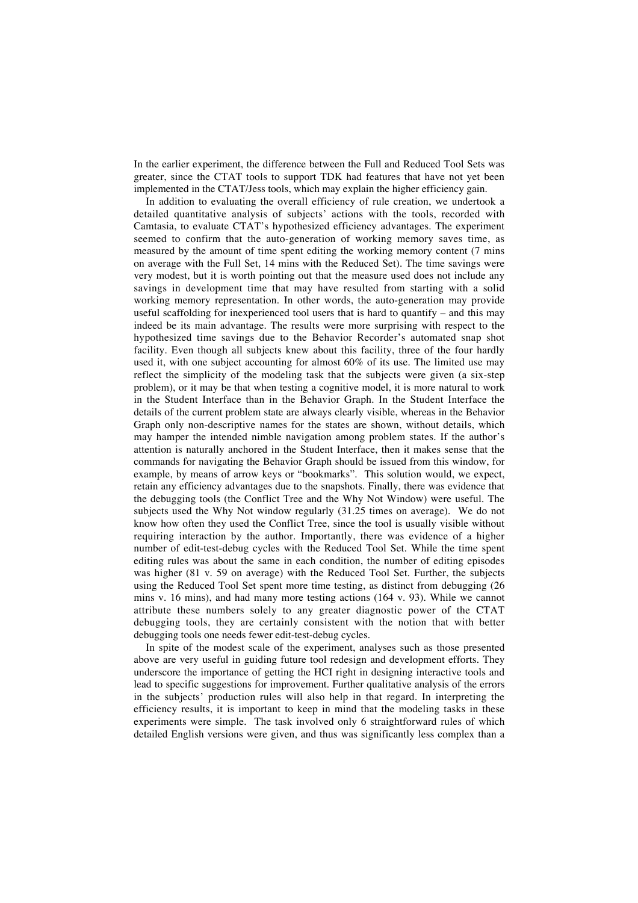In the earlier experiment, the difference between the Full and Reduced Tool Sets was greater, since the CTAT tools to support TDK had features that have not yet been implemented in the CTAT/Jess tools, which may explain the higher efficiency gain.

In addition to evaluating the overall efficiency of rule creation, we undertook a detailed quantitative analysis of subjects' actions with the tools, recorded with Camtasia, to evaluate CTAT's hypothesized efficiency advantages. The experiment seemed to confirm that the auto-generation of working memory saves time, as measured by the amount of time spent editing the working memory content (7 mins on average with the Full Set, 14 mins with the Reduced Set). The time savings were very modest, but it is worth pointing out that the measure used does not include any savings in development time that may have resulted from starting with a solid working memory representation. In other words, the auto-generation may provide useful scaffolding for inexperienced tool users that is hard to quantify – and this may indeed be its main advantage. The results were more surprising with respect to the hypothesized time savings due to the Behavior Recorder's automated snap shot facility. Even though all subjects knew about this facility, three of the four hardly used it, with one subject accounting for almost 60% of its use. The limited use may reflect the simplicity of the modeling task that the subjects were given (a six-step problem), or it may be that when testing a cognitive model, it is more natural to work in the Student Interface than in the Behavior Graph. In the Student Interface the details of the current problem state are always clearly visible, whereas in the Behavior Graph only non-descriptive names for the states are shown, without details, which may hamper the intended nimble navigation among problem states. If the author's attention is naturally anchored in the Student Interface, then it makes sense that the commands for navigating the Behavior Graph should be issued from this window, for example, by means of arrow keys or "bookmarks". This solution would, we expect, retain any efficiency advantages due to the snapshots. Finally, there was evidence that the debugging tools (the Conflict Tree and the Why Not Window) were useful. The subjects used the Why Not window regularly (31.25 times on average). We do not know how often they used the Conflict Tree, since the tool is usually visible without requiring interaction by the author. Importantly, there was evidence of a higher number of edit-test-debug cycles with the Reduced Tool Set. While the time spent editing rules was about the same in each condition, the number of editing episodes was higher (81 v. 59 on average) with the Reduced Tool Set. Further, the subjects using the Reduced Tool Set spent more time testing, as distinct from debugging (26 mins v. 16 mins), and had many more testing actions (164 v. 93). While we cannot attribute these numbers solely to any greater diagnostic power of the CTAT debugging tools, they are certainly consistent with the notion that with better debugging tools one needs fewer edit-test-debug cycles.

In spite of the modest scale of the experiment, analyses such as those presented above are very useful in guiding future tool redesign and development efforts. They underscore the importance of getting the HCI right in designing interactive tools and lead to specific suggestions for improvement. Further qualitative analysis of the errors in the subjects' production rules will also help in that regard. In interpreting the efficiency results, it is important to keep in mind that the modeling tasks in these experiments were simple. The task involved only 6 straightforward rules of which detailed English versions were given, and thus was significantly less complex than a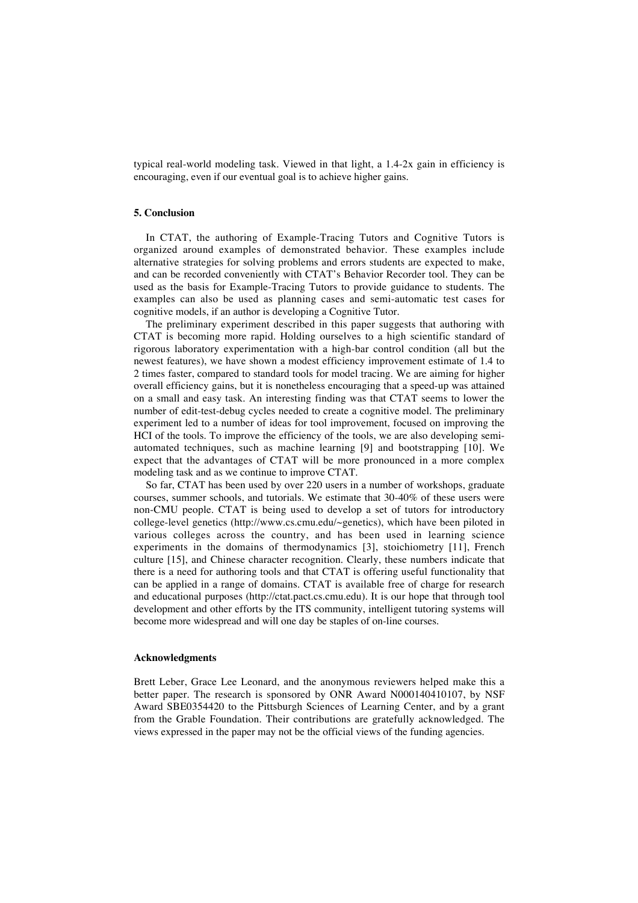typical real-world modeling task. Viewed in that light, a 1.4-2x gain in efficiency is encouraging, even if our eventual goal is to achieve higher gains.

## **5. Conclusion**

In CTAT, the authoring of Example-Tracing Tutors and Cognitive Tutors is organized around examples of demonstrated behavior. These examples include alternative strategies for solving problems and errors students are expected to make, and can be recorded conveniently with CTAT's Behavior Recorder tool. They can be used as the basis for Example-Tracing Tutors to provide guidance to students. The examples can also be used as planning cases and semi-automatic test cases for cognitive models, if an author is developing a Cognitive Tutor.

The preliminary experiment described in this paper suggests that authoring with CTAT is becoming more rapid. Holding ourselves to a high scientific standard of rigorous laboratory experimentation with a high-bar control condition (all but the newest features), we have shown a modest efficiency improvement estimate of 1.4 to 2 times faster, compared to standard tools for model tracing. We are aiming for higher overall efficiency gains, but it is nonetheless encouraging that a speed-up was attained on a small and easy task. An interesting finding was that CTAT seems to lower the number of edit-test-debug cycles needed to create a cognitive model. The preliminary experiment led to a number of ideas for tool improvement, focused on improving the HCI of the tools. To improve the efficiency of the tools, we are also developing semiautomated techniques, such as machine learning [9] and bootstrapping [10]. We expect that the advantages of CTAT will be more pronounced in a more complex modeling task and as we continue to improve CTAT.

So far, CTAT has been used by over 220 users in a number of workshops, graduate courses, summer schools, and tutorials. We estimate that 30-40% of these users were non-CMU people. CTAT is being used to develop a set of tutors for introductory college-level genetics (http://www.cs.cmu.edu/~genetics), which have been piloted in various colleges across the country, and has been used in learning science experiments in the domains of thermodynamics [3], stoichiometry [11], French culture [15], and Chinese character recognition. Clearly, these numbers indicate that there is a need for authoring tools and that CTAT is offering useful functionality that can be applied in a range of domains. CTAT is available free of charge for research and educational purposes (http://ctat.pact.cs.cmu.edu). It is our hope that through tool development and other efforts by the ITS community, intelligent tutoring systems will become more widespread and will one day be staples of on-line courses.

### **Acknowledgments**

Brett Leber, Grace Lee Leonard, and the anonymous reviewers helped make this a better paper. The research is sponsored by ONR Award N000140410107, by NSF Award SBE0354420 to the Pittsburgh Sciences of Learning Center, and by a grant from the Grable Foundation. Their contributions are gratefully acknowledged. The views expressed in the paper may not be the official views of the funding agencies.